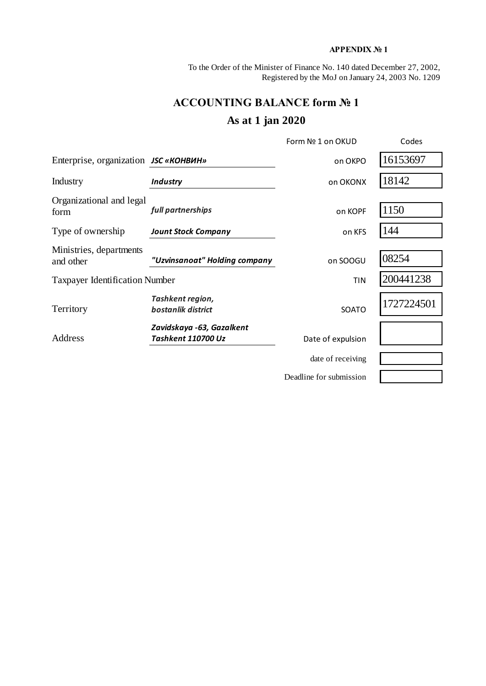### **APPENDIX № 1**

To the Order of the Minister of Finance No. 140 dated December 27, 2002, Registered by the MoJ on January 24, 2003 No. 1209

# **ACCOUNTING BALANCE form № 1**

## **As at 1 jan 2020**

|                                              |                                                 | Form Nº 1 on OKUD       | Codes      |
|----------------------------------------------|-------------------------------------------------|-------------------------|------------|
| Enterprise, organization <i>JSC</i> «КОНВИН» |                                                 | on OKPO                 | 16153697   |
| Industry                                     | <b>Industry</b>                                 | on OKONX                | 18142      |
| Organizational and legal<br>form             | full partnerships                               | on KOPF                 | 1150       |
| Type of ownership                            | <b>Jount Stock Company</b>                      | on KFS                  | 144        |
| Ministries, departments<br>and other         | "Uzvinsanoat" Holding company                   | on SOOGU                | 08254      |
| <b>Taxpayer Identification Number</b>        |                                                 | <b>TIN</b>              | 200441238  |
| Territory                                    | Tashkent region,<br>bostanlik district          | <b>SOATO</b>            | 1727224501 |
| Address                                      | Zavidskaya -63, Gazalkent<br>Tashkent 110700 Uz | Date of expulsion       |            |
|                                              |                                                 | date of receiving       |            |
|                                              |                                                 | Deadline for submission |            |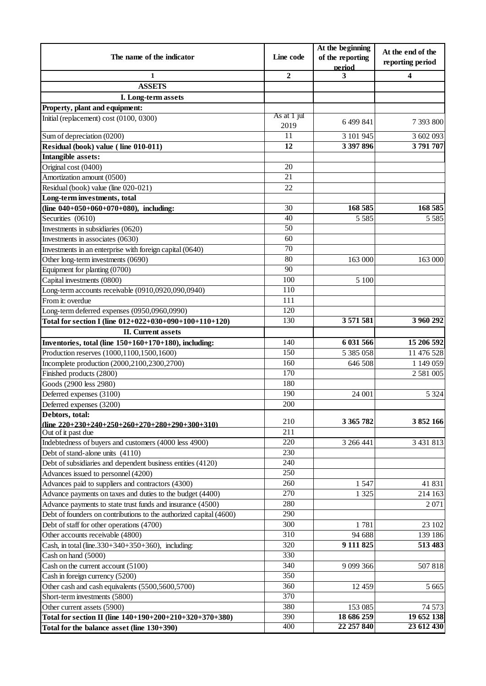|                                                                         |                     | At the beginning           | At the end of the |  |
|-------------------------------------------------------------------------|---------------------|----------------------------|-------------------|--|
| The name of the indicator                                               | Line code           | of the reporting<br>period | reporting period  |  |
| 1                                                                       | $\overline{2}$      | 3                          | 4                 |  |
| <b>ASSETS</b>                                                           |                     |                            |                   |  |
| I. Long-term assets                                                     |                     |                            |                   |  |
| Property, plant and equipment:                                          |                     |                            |                   |  |
| Initial (replacement) cost (0100, 0300)                                 | As at 1 jul<br>2019 | 6 499 841                  | 7 393 800         |  |
| Sum of depreciation (0200)                                              | 11                  | 3 101 945                  | 3 602 093         |  |
| Residual (book) value (line 010-011)                                    | 12                  | 3 397 896                  | 3791707           |  |
| Intangible assets:                                                      |                     |                            |                   |  |
| Original cost (0400)                                                    | 20                  |                            |                   |  |
| Amortization amount (0500)                                              | 21                  |                            |                   |  |
| Residual (book) value (line 020-021)                                    | 22                  |                            |                   |  |
| Long-term investments, total                                            |                     |                            |                   |  |
| (line 040+050+060+070+080), including:                                  | 30                  | 168 585                    | 168 585           |  |
| Securities (0610)                                                       | 40                  | 5 5 8 5                    | 5 5 8 5           |  |
| Investments in subsidiaries (0620)                                      | $\overline{50}$     |                            |                   |  |
| Investments in associates (0630)                                        | 60                  |                            |                   |  |
| Investments in an enterprise with foreign capital (0640)                | $\overline{70}$     |                            |                   |  |
| Other long-term investments (0690)                                      | 80                  | 163 000                    | 163 000           |  |
| Equipment for planting (0700)                                           | 90                  |                            |                   |  |
| Capital investments (0800)                                              | 100                 | 5 100                      |                   |  |
| Long-term accounts receivable (0910,0920,090,0940)                      | 110                 |                            |                   |  |
| From it: overdue                                                        | 111                 |                            |                   |  |
| Long-term deferred expenses (0950,0960,0990)                            | 120                 |                            |                   |  |
| Total for section I (line 012+022+030+090+100+110+120)                  | 130                 | 3 571 581                  | 3 960 292         |  |
| <b>II.</b> Current assets                                               |                     |                            |                   |  |
| Inventories, total (line 150+160+170+180), including:                   | 140                 | 6 031 566                  | 15 206 592        |  |
| Production reserves (1000,1100,1500,1600)                               | 150                 | 5 385 058                  | 11 476 528        |  |
| Incomplete production (2000,2100,2300,2700)                             | 160                 | 646 508                    | 1 149 059         |  |
| Finished products (2800)                                                | $\overline{170}$    |                            | 2 581 005         |  |
| Goods (2900 less 2980)                                                  | 180                 |                            |                   |  |
| Deferred expenses (3100)                                                | 190                 | 24 001                     | 5 3 2 4           |  |
| Deferred expenses (3200)                                                | 200                 |                            |                   |  |
| Debtors, total:                                                         | 210                 | 3 365 782                  | 3852166           |  |
| (line $220+230+240+250+260+270+280+290+300+310$ )<br>Out of it past due | $\overline{211}$    |                            |                   |  |
| Indebtedness of buyers and customers (4000 less 4900)                   | 220                 | 3 266 441                  | 3 431 813         |  |
| Debt of stand-alone units (4110)                                        | 230                 |                            |                   |  |
| Debt of subsidiaries and dependent business entities (4120)             | 240                 |                            |                   |  |
| Advances issued to personnel (4200)                                     | 250                 |                            |                   |  |
| Advances paid to suppliers and contractors (4300)                       | 260                 | 1547                       | 41 831            |  |
| Advance payments on taxes and duties to the budget (4400)               | 270                 | 1 3 2 5                    | 214 163           |  |
| Advance payments to state trust funds and insurance (4500)              | 280                 |                            | 2071              |  |
| Debt of founders on contributions to the authorized capital (4600)      | 290                 |                            |                   |  |
| Debt of staff for other operations (4700)                               | 300                 | 1781                       | 23 102            |  |
| Other accounts receivable (4800)                                        | 310                 | 94 688                     | 139 186           |  |
| Cash, in total (line.330+340+350+360), including:                       | 320                 | 9 111 825                  | 513 483           |  |
| Cash on hand (5000)                                                     | 330                 |                            |                   |  |
| Cash on the current account (5100)                                      | 340                 | 9 099 366                  | 507818            |  |
| Cash in foreign currency (5200)                                         | 350                 |                            |                   |  |
| Other cash and cash equivalents (5500,5600,5700)                        | 360                 | 12 4 5 9                   | 5 6 6 5           |  |
| Short-term investments (5800)                                           | 370                 |                            |                   |  |
| Other current assets (5900)                                             | 380                 | 153 085                    | 74 573            |  |
| Total for section II (line 140+190+200+210+320+370+380)                 | 390                 | 18 686 259                 | 19 652 138        |  |
| Total for the balance asset (line $130+390$ )                           | 400                 | 22 257 840                 | 23 612 430        |  |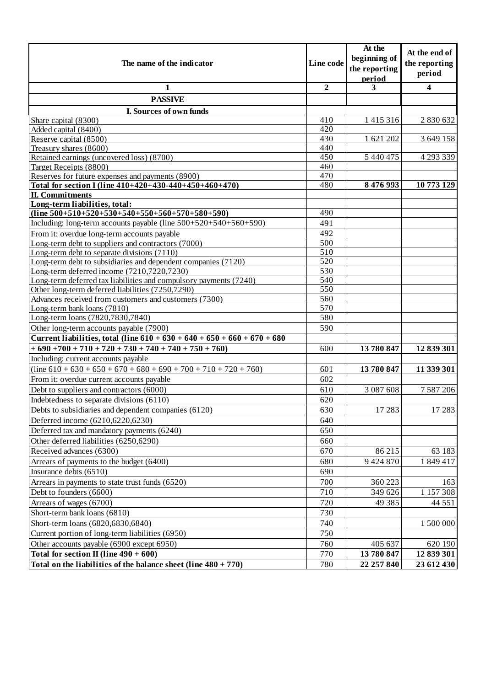| The name of the indicator                                                                           |                  | At the<br>beginning of<br>the reporting | At the end of<br>the reporting |
|-----------------------------------------------------------------------------------------------------|------------------|-----------------------------------------|--------------------------------|
|                                                                                                     |                  | period                                  | period                         |
| 1                                                                                                   | $\overline{2}$   | 3                                       | 4                              |
| <b>PASSIVE</b>                                                                                      |                  |                                         |                                |
| I. Sources of own funds                                                                             |                  |                                         |                                |
| Share capital (8300)                                                                                | 410              | 1415316                                 | 2 830 632                      |
| Added capital (8400)                                                                                | 420              |                                         |                                |
| Reserve capital (8500)                                                                              | 430              | 1 621 202                               | 3 649 158                      |
| Treasury shares (8600)                                                                              | 440              |                                         |                                |
| Retained earnings (uncovered loss) (8700)                                                           | 450              | 5 440 475                               | 4 293 339                      |
| Target Receipts (8800)                                                                              | 460              |                                         |                                |
| Reserves for future expenses and payments (8900)                                                    | 470              |                                         |                                |
| Total for section I (line 410+420+430-440+450+460+470)                                              | 480              | 8476993                                 | 10773129                       |
| <b>II.</b> Commitments<br>Long-term liabilities, total:                                             |                  |                                         |                                |
| $(line 500+510+520+530+540+550+560+570+580+590)$                                                    | 490              |                                         |                                |
| Including: long-term accounts payable (line $500+520+540+560+590$ )                                 | 491              |                                         |                                |
|                                                                                                     | 492              |                                         |                                |
| From it: overdue long-term accounts payable                                                         | 500              |                                         |                                |
| Long-term debt to suppliers and contractors (7000)<br>Long-term debt to separate divisions $(7110)$ | $\overline{510}$ |                                         |                                |
| Long-term debt to subsidiaries and dependent companies (7120)                                       | 520              |                                         |                                |
| Long-term deferred income (7210,7220,7230)                                                          | 530              |                                         |                                |
| Long-term deferred tax liabilities and compulsory payments (7240)                                   | 540              |                                         |                                |
| Other long-term deferred liabilities (7250,7290)                                                    | 550              |                                         |                                |
| Advances received from customers and customers (7300)                                               | 560              |                                         |                                |
| Long-term bank loans (7810)                                                                         | 570              |                                         |                                |
| Long-term loans (7820,7830,7840)                                                                    | 580              |                                         |                                |
| Other long-term accounts payable (7900)                                                             | 590              |                                         |                                |
| Current liabilities, total (line $610 + 630 + 640 + 650 + 660 + 670 + 680$                          |                  |                                         |                                |
| $+690+700+710+720+730+740+740+750+760$                                                              | 600              | 13780847                                | 12 839 301                     |
| Including: current accounts payable                                                                 |                  |                                         |                                |
| $\overline{(line 610 + 630 + 650 + 670 + 680 + 690 + 700 + 710 + 720 + 760)}$                       | 601              | 13780847                                | 11 339 301                     |
| From it: overdue current accounts payable                                                           | 602              |                                         |                                |
| Debt to suppliers and contractors (6000)                                                            | 610              | 3 0 8 7 6 0 8                           | 7 5 8 7 2 0 6                  |
| Indebtedness to separate divisions (6110)                                                           | 620              |                                         |                                |
| Debts to subsidiaries and dependent companies (6120)                                                | 630              | 17 28 3                                 | 17283                          |
| Deferred income (6210,6220,6230)                                                                    | 640              |                                         |                                |
| Deferred tax and mandatory payments (6240)                                                          | 650              |                                         |                                |
| Other deferred liabilities (6250,6290)                                                              |                  |                                         |                                |
|                                                                                                     | 660              |                                         |                                |
| Received advances (6300)                                                                            | 670              | 86 215                                  | 63 183                         |
| Arrears of payments to the budget (6400)                                                            | 680              | 9424870                                 | 1 849 417                      |
| Insurance debts (6510)                                                                              | 690              |                                         |                                |
| Arrears in payments to state trust funds (6520)                                                     | 700              | 360 223                                 | 163                            |
| Debt to founders (6600)                                                                             | 710              | 349 626                                 | 1 157 308                      |
| Arrears of wages (6700)                                                                             | 720              | 49 3 8 5                                | 44 5 5 1                       |
| Short-term bank loans (6810)                                                                        | 730              |                                         |                                |
| Short-term loans (6820,6830,6840)                                                                   | 740              |                                         | 1 500 000                      |
| Current portion of long-term liabilities (6950)                                                     | 750              |                                         |                                |
| Other accounts payable (6900 except 6950)                                                           | 760              | 405 637                                 | 620 190                        |
| Total for section II (line $490 + 600$ )                                                            |                  | 13780847                                | 12 839 301                     |
| Total on the liabilities of the balance sheet (line $480 + 770$ )                                   | 780              | 22 257 840                              | 23 612 430                     |